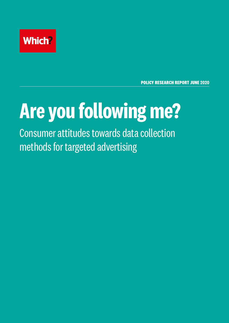

**POLICY RESEARCH REPORT JUNE 2020**

# **Are you following me?**

Consumer attitudes towards data collection methods for targeted advertising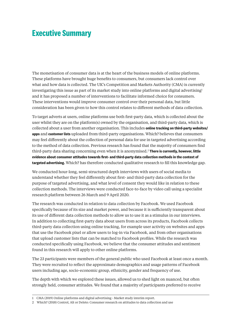## **Executive Summary**

The monetisation of consumer data is at the heart of the business models of online platforms. These platforms have brought huge benefits to consumers, but consumers lack control over what and how data is collected. The UK's Competition and Markets Authority (CMA) is currently investigating this issue as part of its market study into online platforms and digital advertising<sup>1</sup> and it has proposed a number of interventions to facilitate informed choice for consumers. These interventions would improve consumer control over their personal data, but little consideration has been given to how this control relates to different methods of data collection.

To target adverts at users, online platforms use both first-party data, which is collected about the user whilst they are on the platform(s) owned by the organisation, and third-party data, which is collected about a user from another organisation. This includes **online tracking on third-party websites/ apps** and **customer lists** uploaded from third-party organisations. Which? believes that consumers may feel differently about the collection of personal data for use in targeted advertising according to the method of data collection. Previous research has found that the majority of consumers find third-party data sharing concerning even when it is anonymised.2 **There is currently, however, little evidence about consumer attitudes towards first- and third-party data collection methods in the context of targeted advertising.** Which? has therefore conducted qualitative research to fill this knowledge gap.

We conducted hour-long, semi-structured depth interviews with users of social media to understand whether they feel differently about first- and third-party data collection for the purpose of targeted advertising, and what level of consent they would like in relation to these collection methods. The interviews were conducted face-to-face by video call using a specialist research platform between 26 March and 9 April 2020.

The research was conducted in relation to data collection by Facebook. We used Facebook specifically because of its size and market power, and because it is sufficiently transparent about its use of different data collection methods to allow us to use it as a stimulus in our interviews. In addition to collecting first-party data about users from across its products, Facebook collects third-party data collection using online tracking, for example user activity on websites and apps that use the Facebook pixel or allow users to log-in via Facebook, and from other organisations that upload customer lists that can be matched to Facebook profiles. While the research was conducted specifically using Facebook, we believe that the consumer attitudes and sentiment found in this research will apply to other online platforms.

The 23 participants were members of the general public who used Facebook at least once a month. They were recruited to reflect the approximate demographics and usage patterns of Facebook users including age, socio-economic group, ethnicity, gender and frequency of use.

The depth with which we explored these issues, allowed us to shed light on nuanced, but often strongly held, consumer attitudes. We found that a majority of participants preferred to receive

<sup>1</sup> CMA (2019) Online platforms and digital advertising - Market study interim report.

<sup>2</sup> Which? (2018) Control, Alt or Delete: Consumer research on attitudes to data collection and use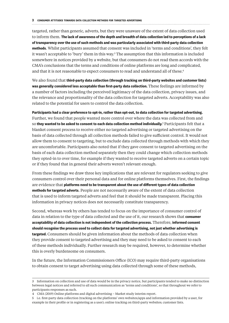targeted, rather than generic, adverts, but they were unaware of the extent of data collection used to inform them. **The lack of awareness of the depth and breadth of data collection led to perceptions of a lack of transparency over the use of such methods and was particularly associated with third-party data collection methods**. Whilst participants assumed that consent was included in 'terms and conditions', they felt it wasn't acceptable to 'bury' them in this way.<sup>3</sup> The assumption that this information is included somewhere in notices provided by a website, but that consumers do not read them accords with the CMA's conclusions that the terms and conditions of online platforms are long and complicated, and that it is not reasonable to expect consumers to read and understand all of these.<sup>4</sup>

We also found that **third-party data collection (through tracking on third-party websites and customer lists) was generally considered less acceptable than first-party data collection.** These feelings are informed by a number of factors including the perceived legitimacy of the data collection, privacy issues, and the relevance and proportionality of the data collection for targeted adverts. Acceptability was also related to the potential for users to control the data collection.

**Participants had a clear preference to opt-in, rather than opt-out, to data collection for targeted advertising.**  Further, we found that people wanted more control over where the data was collected from and so **they wanted to be asked to consent to each data collection method individually.**<sup>5</sup> Participants felt that a blanket consent process to receive either no targeted advertising or targeted advertising on the basis of data collected through all collection methods failed to give sufficient control. It would not allow them to consent to targeting, but to exclude data collected through methods with which they are uncomfortable. Participants also noted that if they gave consent to targeted advertising on the basis of each data collection method separately then they could change which collection methods they opted-in to over time, for example if they wanted to receive targeted adverts on a certain topic or if they found that in general their adverts weren't relevant enough.

From these findings we draw three key implications that are relevant for regulators seeking to give consumers control over their personal data and for online platforms themselves. First, the findings are evidence that **platforms need to be transparent about the use of different types of data collection methods for targeted adverts**. People are not necessarily aware of the extent of data collection that is used to inform targeted adverts and feel that it should be made transparent. Placing this information in privacy notices does not necessarily constitute transparency.

Second, whereas work by others has tended to focus on the importance of consumer control of data in relation to the type of data collected and the use of it, our research shows that **consumer acceptability of data collection is not independent of the collection process.** Therefore, **informed consent should recognise the process used to collect data for targeted advertising, not just whether advertising is targeted.** Consumers should be given information about the methods of data collection when they provide consent to targeted advertising and they may need to be asked to consent to each of these methods individually. Further research may be required, however, to determine whether this is overly burdensome on consumers.

In the future, the Information Commissioners Office (ICO) may require third-party organisations to obtain consent to target advertising using data collected through some of these methods,

5 i.e. first-party data collection (tracking on the platforms' own websites/apps and information provided by a user, for example in their profile or in registering as a user); online tracking on third-party websites; customer lists.

<sup>3</sup> Information on collection and use of data would be in the privacy notice, but participants tended to make no distinction between legal notices and referred to all such communication as 'terms and conditions', so that throughout we refer to participants responses as such.

<sup>4</sup> CMA (2019) Online platforms and digital advertising – Market study interim report.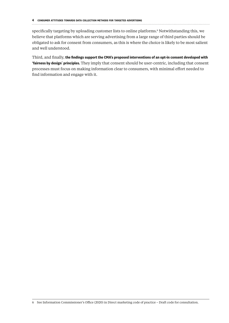specifically targeting by uploading customer lists to online platforms.6 Notwithstanding this, we believe that platforms which are serving advertising from a large range of third parties should be obligated to ask for consent from consumers, as this is where the choice is likely to be most salient and well understood.

Third, and finally, **the findings support the CMA's proposed interventions of an opt-in consent developed with 'fairness by design**' **principles.** They imply that consent should be user-centric, including that consent processes must focus on making information clear to consumers, with minimal effort needed to find information and engage with it.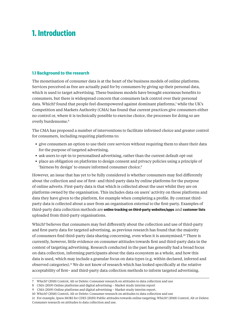## **1. Introduction**

#### **1.1 Background to the research**

The monetisation of consumer data is at the heart of the business models of online platforms. Services perceived as free are actually paid for by consumers by giving up their personal data, which is used to target advertising. These business models have brought enormous benefits to consumers, but there is widespread concern that consumers lack control over their personal data. Which? found that people feel disempowered against dominant platforms,<sup>7</sup> while the UK's Competition and Markets Authority (CMA) has found that current practices give consumers either no control or, where it is technically possible to exercise choice, the processes for doing so are overly burdensome.<sup>8</sup>

The CMA has proposed a number of interventions to facilitate informed choice and greater control for consumers, including requiring platforms to:

- **•** give consumers an option to use their core services without requiring them to share their data for the purpose of targeted advertising.
- **•** ask users to opt-in to personalised advertising, rather than the current default opt-out
- **•** place an obligation on platforms to design consent and privacy policies using a principle of 'fairness by design' to ensure informed consumer choice.<sup>9</sup>

However, an issue that has yet to be fully considered is whether consumers may feel differently about the collection and use of first- and third-party data by online platforms for the purpose of online adverts. First-party data is that which is collected about the user whilst they are on platforms owned by the organisation. This includes data on users' activity on those platforms and data they have given to the platform, for example when completing a profile. By contrast thirdparty data is collected about a user from an organisation external to the first-party. Examples of third-party data collection methods are **online tracking on third-party websites/apps** and **customer lists** uploaded from third-party organisations.

Which? believes that consumers may feel differently about the collection and use of third-party and first-party data for targeted advertising, as previous research has found that the majority of consumers find third-party data sharing concerning, even when it is anonymised.10 There is currently, however, little evidence on consumer attitudes towards first and third-party data in the context of targeting advertising. Research conducted in the past has generally had a broad focus on data collection, informing participants about the data ecosystem as a whole, and how this data is used, which may include a granular focus on data types (e.g. within declared, inferred and observed categories).11 We do not know of research which has looked specifically at the relative acceptability of first– and third-party data collection methods to inform targeted advertising.

<sup>7</sup> Which? (2018) Control, Alt or Delete: Consumer research on attitudes to data collection and use

<sup>8</sup> CMA (2019) Online platforms and digital advertising – Market study interim report

<sup>9</sup> CMA (2019) Online platforms and digital advertising – Market study interim report.

<sup>10</sup> Which? (2018) Control, Alt or Delete: Consumer research on attitudes to data collection and use

<sup>11</sup> For example, Ipsos MORI for CDEI (2020) Public attitudes towards online targeting; Which? (2018) Control, Alt or Delete: Consumer research on attitudes to data collection and use.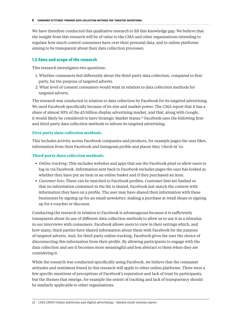We have therefore conducted this qualitative research to fill this knowledge gap. We believe that the insight from this research will be of value to the CMA and other organisations intending to regulate how much control consumers have over their personal data, and to online platforms aiming to be transparent about their data collection processes.

#### **1.2 Aims and scope of the research**

This research investigates two questions:

- 1. Whether consumers feel differently about the third-party data collection, compared to firstparty, for the purpose of targeted adverts.
- 2. What level of consent consumers would want in relation to data collection methods for targeted adverts.

The research was conducted in relation to data collection by Facebook for its targeted advertising. We used Facebook specifically because of its size and market power. The CMA report that it has a share of almost 50% of the £5 billion display advertising market, and that, along with Google, it would likely be considered to have Strategic Market Status.12 Facebook uses the following firstand third-party data collection methods to inform its targeted advertising.

#### *First-party data collection methods:*

This includes activity across Facebook companies and products, for example pages the user likes, information from their Facebook and Instagram profile and places they 'check-in' to.

#### *Third-party data collection methods:*

- **•** *Online tracking*: This includes websites and apps that use the Facebook pixel or allow users to log-in via Facebook. Information sent back to Facebook includes pages the user has looked at, whether they have put an item in an online basket and if they purchased an item.
- **•** *Customer lists*: These can be matched to Facebook profiles. Customer lists are hashed so that no information contained in the list is shared, Facebook just match the content with information they have on a profile. The user may have shared their information with these businesses by signing up for an email newsletter, making a purchase at retail shops or signing up for a voucher or discount.

Conducting the research in relation to Facebook is advantageous because it is sufficiently transparent about its use of different data collection methods to allow us to use it as a stimulus in our interviews with consumers. Facebook allows users to view in their settings which, and how many, third-parties have shared information about them with Facebook for the purpose of targeted adverts. And, for third-party online tracking, Facebook gives the user the choice of disconnecting this information from their profile. By allowing participants to engage with the data collection and use it becomes more meaningful and less abstract to them when they are considering it.

While the research was conducted specifically using Facebook, we believe that the consumer attitudes and sentiment found in this research will apply to other online platforms. There were a few specific mentions of perceptions of Facebook's reputation and lack of trust by participants, but the themes that emerge, for example the extent of tracking and lack of transparency should be similarly applicable to other organisations.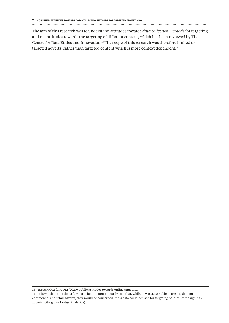The aim of this research was to understand attitudes towards *data collection methods* for targeting

and not attitudes towards the targeting of different content, which has been reviewed by The Centre for Data Ethics and Innovation.13 The scope of this research was therefore limited to targeted adverts, rather than targeted content which is more context dependent.<sup>14</sup>

<sup>13</sup> Ipsos MORI for CDEI (2020) Public attitudes towards online targeting.

<sup>14</sup> It is worth noting that a few participants spontaneously said that, whilst it was acceptable to use the data for commercial and retail adverts, they would be concerned if this data could be used for targeting political campaigning / adverts (citing Cambridge Analytica).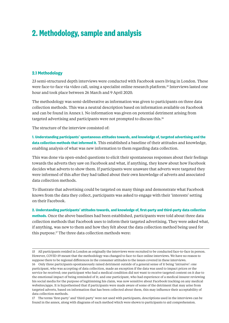## **2. Methodology, sample and analysis**

#### **2.1 Methodology**

23 semi-structured depth interviews were conducted with Facebook users living in London. These were face-to-face via video call, using a specialist online research platform.15 Interviews lasted one hour and took place between 26 March and 9 April 2020.

The methodology was semi-deliberative as information was given to participants on three data collection methods. This was a neutral description based on information available on Facebook and can be found in Annex 1. No information was given on potential detriment arising from targeted advertising and participants were not prompted to discuss this.16

The structure of the interview consisted of:

**1. Understanding participants' spontaneous attitudes towards, and knowledge of, targeted advertising and the data collection methods that informed it.** This established a baseline of their attitudes and knowledge, enabling analysis of what was new information to them regarding data collection.

This was done via open-ended questions to elicit their spontaneous responses about their feelings towards the adverts they saw on Facebook and what, if anything, they knew about how Facebook decides what adverts to show them. If participants were unaware that adverts were targeted they were informed of this after they had talked about their own knowledge of adverts and associated data collection methods.

To illustrate that advertising could be targeted on many things and demonstrate what Facebook knows from the data they collect, participants was asked to engage with their 'interests' setting on their Facebook.

**2. Understanding participants' attitudes towards, and knowledge of, first-party and third-party data collection methods.** Once the above baselines had been established, participants were told about three data collection methods that Facebook uses to inform their targeted advertising. They were asked what, if anything, was new to them and how they felt about the data collection method being used for this purpose.<sup>17</sup> The three data collection methods were:

<sup>15</sup> All participants resided in London as originally the interviews were recruited to be conducted face-to-face in person. However, COVID-19 meant that the methodology was changed to face-to-face online interviews. We have no reason to suppose there to be regional differences in the consumer attitudes to the issues covered in these interviews.

<sup>16</sup> Only three participants spontaneously raised detriment outside of a general sense of it being 'intrusive': one participant, who was accepting of data collection, made an exception if the data was used to impact prices or the service he received; one participant who had a medical condition did not want to receive targeted content on it due to the emotional impact of being reminded of it; and one participant, who had experience of a medical insurer reviewing his social media for the purpose of legitimising his claim, was now sensitive about Facebook tracking on any medical websites/apps. It is hypothesised that if participants were made aware of some of the detriment that may arise from targeted adverts, based on information that has been collected about them, this may influence their acceptability of data collection methods.

<sup>17</sup> The terms 'first-party' and 'third-party' were not used with participants, descriptions used in the interviews can be found in the annex, along with diagrams of each method which were shown to participants to aid comprehension.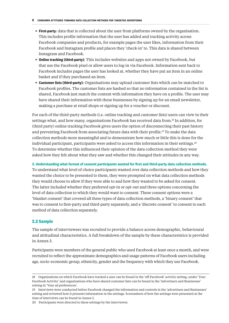- **• First-party**: data that is collected about the user from platforms owned by the organisation. This includes profile information that the user has added and tracking activity across Facebook companies and products, for example pages the user likes, information from their Facebook and Instagram profile and places they 'check-in' to. This data is shared between Instagram and Facebook.
- **• Online tracking (third-party)**: This includes websites and apps not owned by Facebook, but that use the Facebook pixel or allow users to log-in via Facebook. Information sent back to Facebook includes pages the user has looked at, whether they have put an item in an online basket and if they purchased an item.
- **• Customer lists (third-party)**: Organisations may upload customer lists which can be matched to Facebook profiles. The customer lists are hashed so that no information contained in the list is shared, Facebook just match the content with information they have on a profile. The user may have shared their information with these businesses by signing up for an email newsletter, making a purchase at retail shops or signing up for a voucher or discount.

For each of the third-party methods (i.e. online tracking and customer lists) users can view in their settings what, and how many, organisations Facebook has received data from.18 In addition, for (third party) online tracking Facebook gives users the option of disconnecting their past history and preventing Facebook from associating future data with their profile.<sup>19</sup> To make the data collection methods more meaningful and to demonstrate how much or little this is done for the individual participant, participants were asked to access this information in their settings.<sup>20</sup> To determine whether this influenced their opinion of the data collection method they were asked how they felt about what they saw and whether this changed their attitudes in any way.

#### **3. Understanding what format of consent participants wanted for first and third-party data collection methods.**

To understand what level of choice participants wanted over data collection methods and how they wanted the choice to be presented to them, they were prompted on what data collection methods they would choose to allow if they were able to and how they wanted to be asked for consent. The latter included whether they preferred opt-in or opt-out and three options concerning the level of data collection to which they would want to consent. These consent options were a 'blanket consent' that covered all three types of data collection methods, a 'binary consent' that was to consent to first-party and third-party separately, and a 'discrete consent' to consent to each method of data collection separately.

#### **2.2 Sample**

The sample of interviewees was recruited to provide a balance across demographic, behavioural and attitudinal characteristics. A full breakdown of the sample by these characteristics is provided in Annex 3.

Participants were members of the general public who used Facebook at least once a month, and were recruited to reflect the approximate demographics and usage patterns of Facebook users including age, socio-economic group, ethnicity, gender and the frequency with which they use Facebook.

<sup>18</sup> Organisations on which Facebook have tracked a user can be found in the 'off-Facebook' activity setting, under 'Your Facebook Activity' and organisations who have shared customer lists can be found in the 'Advertisers and Businesses' setting in 'Your ad preferences'.

<sup>19</sup> Interviews were conducted before Facebook changed the information and controls in the 'advertisers and Businesses' setting and reviewed how it presents information in the settings. Screenshots of how the settings were presented at the time of interviews can be found in Annex 2.

<sup>20</sup> Participants were directed to these settings by the interviewer.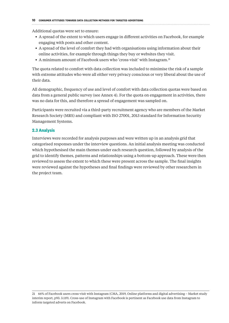#### 

Additional quotas were set to ensure:

- **•** A spread of the extent to which users engage in different activities on Facebook, for example engaging with posts and other content.
- **•** A spread of the level of comfort they had with organisations using information about their online activities, for example through things they buy or websites they visit.
- A minimum amount of Facebook users who 'cross-visit' with Instagram.<sup>21</sup>

The quota related to comfort with data collection was included to minimise the risk of a sample with extreme attitudes who were all either very privacy conscious or very liberal about the use of their data.

All demographic, frequency of use and level of comfort with data collection quotas were based on data from a general public survey (see Annex 4). For the quota on engagement in activities, there was no data for this, and therefore a spread of engagement was sampled on.

Participants were recruited via a third-party recruitment agency who are members of the Market Research Society (MRS) and compliant with ISO 27001, 2013 standard for Information Security Management Systems.

#### **2.3 Analysis**

Interviews were recorded for analysis purposes and were written up in an analysis grid that categorised responses under the interview questions. An initial analysis meeting was conducted which hypothesised the main themes under each research question, followed by analysis of the grid to identify themes, patterns and relationships using a bottom-up approach. These were then reviewed to assess the extent to which these were present across the sample. The final insights were reviewed against the hypotheses and final findings were reviewed by other researchers in the project team.

<sup>21</sup> 66% of Facebook users cross-visit with Instagram (CMA, 2019, Online platforms and digital advertising – Market study interim report, p93. 3.119). Cross-use of Instagram with Facebook is pertinent as Facebook use data from Instagram to inform targeted adverts on Facebook.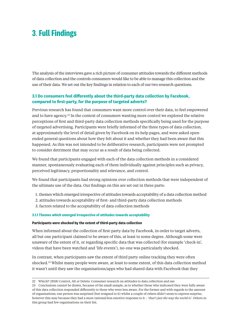## **3**. **Full Findings**

The analysis of the interviews gave a rich picture of consumer attitudes towards the different methods of data collection and the controls consumers would like to be able to manage this collection and the use of their data. We set out the key findings in relation to each of our two research questions.

### **3.1 Do consumers feel differently about the third-party data collection by Facebook, compared to first-party, for the purpose of targeted adverts?**

Previous research has found that consumers want more control over their data, to feel empowered and to have agency.22 In the context of consumers wanting more control we explored the relative perceptions of first and third-party data collection methods specifically being used for the purpose of targeted advertising. Participants were briefly informed of the three types of data collection, at approximately the level of detail given by Facebook on its help pages, and were asked openended general questions about how they felt about it and whether they had been aware that this happened. As this was not intended to be deliberative research, participants were not prompted to consider detriment that may occur as a result of data being collected.

We found that participants engaged with each of the data collection methods in a considered manner, spontaneously evaluating each of them individually against principles such as privacy, perceived legitimacy, proportionality and relevance, and control.

We found that participants had strong opinions over collection methods that were independent of the ultimate use of the data. Our findings on this are set out in three parts:

- 1. themes which emerged irrespective of attitudes towards acceptability of a data collection method
- 2. attitudes towards acceptability of first- and third-party data collection methods
- 3. factors related to the acceptability of data collection methods

#### **3.1.1 Themes which emerged irrespective of attitudes towards acceptability**

#### **Participants were shocked by the extent of third-party data collection**

When informed about the collection of first-party data by Facebook, in order to target adverts, all but one participant claimed to be aware of this, at least to some degree. Although some were unaware of the extent of it, or regarding specific data that was collected (for example 'check-in', videos that have been watched and 'life events'), no-one was particularly shocked.

In contrast, when participants saw the extent of third party online tracking they were often shocked.23 Whilst many people were aware, at least to some extent, of this data collection method it wasn't until they saw the organisations/apps who had shared data with Facebook that they

<sup>22</sup> Which? (2018) Control, Alt or Delete: Consumer research on attitudes to data collection and use

<sup>23</sup> Conclusions cannot be drawn, because of the small sample, as to whether those who indicated they were fully aware of this data collection responded differently to those who were less aware. For the former and with regards to the amount of organisations; one person was surprised (but resigned to it) whilst a couple of others didn't seem to express surprise, however this may because they had a more rational/less emotive response to it – '*that's just the way the world is*'. Others in this group had few organisations on their list.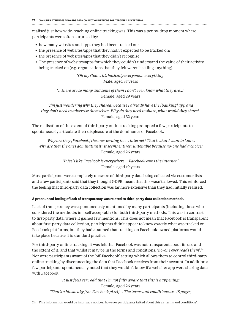realised just how wide-reaching online tracking was. This was a penny-drop moment where participants were often surprised by:

- how many websites and apps they had been tracked on:
- **•** the presence of websites/apps that they hadn't expected to be tracked on;
- **•** the presence of websites/apps that they didn't recognise;
- **•** The presence of websites/apps for which they couldn't understand the value of their activity being tracked on (e.g. organisations that they felt weren't selling anything).

'*Oh my God... it's basically everyone... everything*' Male, aged 37 years

'*...there are so many and some of them I don't even know what they are...'*  Female, aged 29 years

*'I'm just wondering why they shared, because I already have the [banking] app and they don't need to advertise themselves. Why do they need to share, what would they share?'*  Female, aged 32 years

The realisation of the extent of third-party online tracking prompted a few participants to spontaneously articulate their displeasure at the dominance of Facebook.

*'Why are they [Facebook] the ones owning the... internet? That's what I want to know. Why are they the ones dominating it? It seems entirely untenable because no-one had a choice.'*  Female, aged 26 years

> *'It feels like Facebook is everywhere... Facebook owns the internet.'*  Female, aged 19 years

Most participants were completely unaware of third-party data being collected via customer lists and a few participants said that they thought GDPR meant that this wasn't allowed. This reinforced the feeling that third-party data collection was far more extensive than they had initially realised.

#### **A pronounced feeling of lack of transparency was related to third-party data collection methods.**

Lack of transparency was spontaneously mentioned by many participants (including those who considered the method/s in itself acceptable) for both third-party methods. This was in contrast to first-party data, where it gained few mentions. This does not mean that Facebook is transparent about first-party data collection, participants didn't appear to know exactly what was tracked on Facebook platforms, but they had assumed that tracking on Facebook-owned platforms would take place because it is standard practice.

For third-party online tracking, it was felt that Facebook was not transparent about its use and the extent of it, and that whilst it may be in the terms and conditions, '*no-one ever reads them*'.24 Nor were participants aware of the 'off-Facebook' setting which allows them to control third-party online tracking by disconnecting the data that Facebook receives from their account. In addition a few participants spontaneously noted that they wouldn't know if a website/ app were sharing data with Facebook.

> *'It just feels very odd that I'm not fully aware that this is happening.'*  Female, aged 26 years *'That's a bit sneaky [the Facebook pixel]... The terms and conditions are 15 pages,*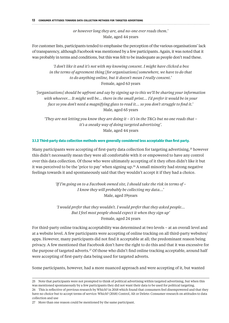*or however long they are, and no-one ever reads them.'*  Male, aged 44 years

For customer lists, participants tended to emphasise the perception of the various organisations' lack of transparency, although Facebook was mentioned by a few participants. Again, it was noted that it was probably in terms and conditions, but this was felt to be inadequate as people don't read these.

 *'I don't like it and it's not with my knowing consent. I might have clicked a box in the terms of agreement thing [for organisations] somewhere, we have to do that to do anything online, but it doesn't mean I really consent.'*  Female, aged 63 years

*'[organisations] should be upfront and say by signing up to this we'll be sharing your information with whoever... It might well be... there in the small print... I'd prefer it would be in your face so you don't need a magnifying glass to read it... so you don't struggle to find it.'*  Male, aged 65 years

*'They are not letting you know they are doing it – it's in the T&Cs but no one reads that – it's a sneaky way of doing targeted advertising'.*  Male, aged 44 years

#### **3.1.2 Third-party data collection methods were generally considered less acceptable than first party.**

Many participants were accepting of first-party data collection for targeting advertising,<sup>25</sup> however this didn't necessarily mean they were all comfortable with it or empowered to have any control over this data collection. Of those who were ultimately accepting of it they often didn't like it but it was perceived to be the 'price to pay' when signing up.<sup>26</sup> A small minority had strong negative feelings towards it and spontaneously said that they wouldn't accept it if they had a choice.

> *'If I'm going on to a Facebook owned site, I should take the risk in terms of – I know they will probably be collecting my data...'*  Male, aged 19years

> *'I would prefer that they wouldn't. I would prefer that they asked people... But I feel most people should expect it when they sign up'* Female, aged 24 years

For third-party online tracking acceptability was determined at two levels – at an overall level and at a website level. A few participants were accepting of online tracking on all third-party websites/ apps. However, many participants did not find it acceptable at all; the predominant reason being privacy. A few mentioned that Facebook don't have the right to do this and that it was excessive for the purpose of targeted adverts.<sup>27</sup> Of those who didn't find online tracking acceptable, around half were accepting of first-party data being used for targeted adverts.

Some participants, however, had a more nuanced approach and were accepting of it, but wanted

25 Note that participants were not prompted to think of political advertising within targeted advertising, but when this was mentioned spontaneously by a few participants they did not want their data to be used for political targeting. 26 This is reflective of previous research by Which? in 2018 which found that consumers feel disempowered and that they have no choice but to accept terms of service: Which? (2018) Control, Alt or Delete: Consumer research on attitudes to data collection and use

27 More than one reason could be mentioned by the same participant.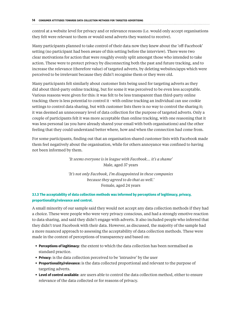control at a website level for privacy and or relevance reasons (i.e. would only accept organisations they felt were relevant to them or would send adverts they wanted to receive).

Many participants planned to take control of their data now they knew about the 'off-Facebook' setting (no participant had been aware of this setting before the interview). There were two clear motivations for action that were roughly evenly split amongst those who intended to take action. These were to protect privacy by disconnecting both the past and future tracking, and to increase the relevance (therefore value) of targeted adverts, by deleting websites/apps which were perceived to be irrelevant because they didn't recognise them or they were old.

Many participants felt similarly about customer lists being used for targeting adverts as they did about third-party online tracking, but for some it was perceived to be even less acceptable. Various reasons were given for this: it was felt to be less transparent than third-party online tracking; there is less potential to control it - with online tracking an individual can use cookie settings to control data sharing, but with customer lists there is no way to control the sharing it; it was deemed an unnecessary level of data collection for the purpose of targeted adverts. Only a couple of participants felt it was more acceptable than online tracking, with one reasoning that it was less personal (as you have already shared your email with both organisations) and the other feeling that they could understand better where, how and when the connection had come from.

For some participants, finding out that an organisation shared customer lists with Facebook made them feel negatively about the organisation, while for others annoyance was confined to having not been informed by them.

#### *'It seems everyone is in league with Facebook... it's a shame'*  Male, aged 37 years

*'It's not only Facebook, I'm disappointed in these companies because they agreed to do that as well.'*  Female, aged 24 years

#### **3.1.3 The acceptability of data collection methods was informed by perceptions of legitimacy, privacy, proportionality/relevance and control.**

A small minority of our sample said they would not accept any data collection methods if they had a choice. These were people who were very privacy conscious, and had a strongly emotive reaction to data sharing, and said they didn't engage with adverts. It also included people who inferred that they didn't trust Facebook with their data. However, as discussed, the majority of the sample had a more nuanced approach to assessing the acceptability of data collection methods. These were made in the context of perceptions of transparency and based on:

- **• Perceptions of legitimacy**: the extent to which the data collection has been normalised as standard practice.
- **• Privacy**: is the data collection perceived to be 'intrusive' by the user
- **• Proportionality/relevance:** is the data collected proportional and relevant to the purpose of targeting adverts.
- **• Level of control available**: are users able to control the data collection method, either to ensure relevance of the data collected or for reasons of privacy.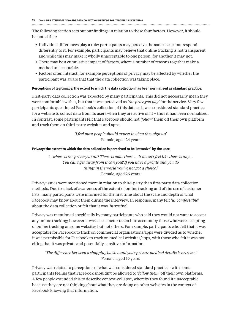The following section sets out our findings in relation to these four factors. However, it should be noted that:

- **•** Individual differences play a role: participants may perceive the same issue, but respond differently to it. For example, participants may believe that online tracking is not transparent and while this may make it wholly unacceptable to one person, for another it may not.
- **•** There may be a cumulative impact of factors, where a number of reasons together make a method unacceptable.
- **•** Factors often interact, for example perceptions of privacy may be affected by whether the participant was aware that that the data collection was taking place.

#### **Perceptions of legitimacy: the extent to which the data collection has been normalised as standard practice.**

First-party data collection was expected by many participants. This did not necessarily mean they were comfortable with it, but that it was perceived as *'the price you pay'* for the service. Very few participants questioned Facebook's collection of this data as it was considered standard practice for a website to collect data from its users when they are active on it – thus it had been normalised. In contrast, some participants felt that Facebook should not *'follow'* them off their own platform and track them on third-party websites and apps.

> *'I feel most people should expect it when they sign up'*  Female, aged 24 years

#### **Privacy: the extent to which the data collection is perceived to be 'intrusive' by the user.**

*'…where is the privacy at all? There is none there ... it doesn't feel like there is any… You can't get away from it can you? If you have a profile and you do things in the world you've not got a choice.'*  Female, aged 26 years

Privacy issues were mentioned more in relation to third-party than first-party data collection methods. Due to a lack of awareness of the extent of online tracking and of the use of customer lists, many participants were informed for the first time about the scale and depth of what Facebook may know about them during the interview. In response, many felt '*uncomfortable'* about the data collection or felt that it was '*intrusive'*.

Privacy was mentioned specifically by many participants who said they would not want to accept any online tracking; however it was also a factor taken into account by those who were accepting of online tracking on some websites but not others. For example, participants who felt that it was acceptable for Facebook to track on commercial organisations/apps were divided as to whether it was permissible for Facebook to track on medical websites/apps, with those who felt it was not citing that it was private and potentially sensitive information.

#### *'The difference between a shopping basket and your private medical details is extreme.'*  Female, aged 19 years

Privacy was related to perceptions of what was considered standard practice - with some participants feeling that Facebook shouldn't be allowed to '*follow them*' off their own platforms. A few people extended this to describe context-collapse, whereby they found it unacceptable because they are not thinking about what they are doing on other websites in the context of Facebook knowing that information.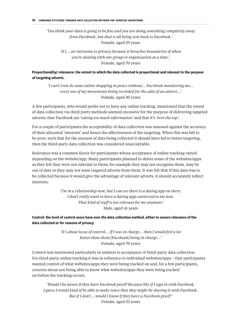### *'You think your data is going to be fine and you are doing something completely away from Facebook, but that is all being sent back to Facebook.'*  Female, aged 29 years

*'It's …an intrusion to privacy because it breaches boundaries of when you're dealing with one group or organisation at a time.'*  Female, aged 70 years

#### **Proportionality/ relevance: the extent to which the data collected is proportional and relevant to the purpose of targeting adverts.**

*'I can't even do some online shopping in peace without... Facebook monitoring me... every one of my movements being recorded for the sake of an advert...'*  Female, aged 30 years

A few participants, who would prefer not to have any online tracking, mentioned that the extent of data collection via third-party methods seemed excessive for the purpose of delivering targeted adverts: that Facebook are '*taking too much information'* and that it's *'over the top'.*

For a couple of participants the acceptability of data collection was assessed against the accuracy of their allocated 'interests' and hence the effectiveness of the targeting. When this was felt to be poor, such that for the amount of data being collected it should have led to better targeting, then the third-party data collection was considered unacceptable.

Relevance was a common factor for participants whose acceptance of online tracking varied depending on the website/app. Many participants planned to delete some of the websites/apps as they felt they were not relevant to them; for example they may not recognise them, may be out of date or they may not want targeted adverts from them. It was felt that if this data was to be collected because it would give the advantage of relevant adverts, it should accurately reflect interests.

> *'I'm in a relationship now, but I can see there is a dating app on there. I don't really want to have a dating app connected to me now. That kind of stuff is not relevant for me anymore'*  Male, aged 41 years

**Control: the level of control users have over the data collection method, either to ensure relevance of the data collected or for reasons of privacy.**

> *'It's about locus of control... If I was in charge… then I would feel a lot better than them [Facebook] being in charge...'*  Female, aged 70 years

Control was mentioned particularly in relation to acceptance of third-party data collection. For third-party online tracking it was in reference to individual websites/apps – that participants wanted control of what websites/apps they were being tracked on and, for a few participants, concern about not being able to know what websites/apps they were being tracked on before the tracking occurs.

*'Would I be aware if they have Facebook pixel? Because like if I sign in with Facebook, I guess I would kind of be able to make sense that they might be sharing it with Facebook. But if I don't... would I know if they have a Facebook pixel?'*  Female, aged 32 years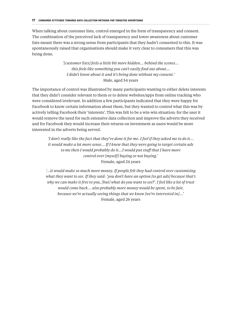### When talking about customer lists, control emerged in the form of transparency and consent. The combination of the perceived lack of transparency and lower awareness about customer lists meant there was a strong sense from participants that they hadn't consented to this. It was spontaneously raised that organisations should make it very clear to consumers that this was being done.

*'[customer lists] feels a little bit more hidden... behind the scenes... this feels like something you can't easily find out about... I didn't know about it and it's being done without my consent.'*  Male, aged 54 years

The importance of control was illustrated by many participants wanting to either delete interests that they didn't consider relevant to them or to delete websites/apps from online tracking who were considered irrelevant. In addition a few participants indicated that they were happy for Facebook to know certain information about them, but they wanted to control what this was by actively telling Facebook their 'interests'. This was felt to be a win-win situation: for the user it would remove the need for such extensive data collection and improve the adverts they received and for Facebook they would increase their returns on investment as users would be more interested in the adverts being served.

*'I don't really like the fact that they've done it for me. I feel if they asked me to do it... it would make a lot more sense... If I knew that they were going to target certain ads to me then I would probably do it...I would put stuff that I have more control over [myself] buying or not buying.'*  Female, aged 24 years

*'…it would make so much more money. If people felt they had control over customising what they want to see. If they said: 'you don't have an option [to get ads] because that's why we can make it free to you, [but] what do you want to see?'. I feel like a lot of trust would come back... also probably more money would be spent, to be fair, because we're actually seeing things that we know [we're interested in]…'*  Female, aged 26 years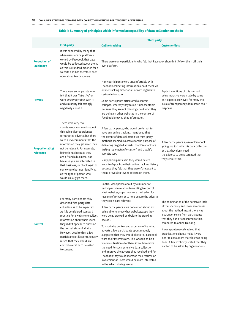#### **First-party Third party Online tracking Customer lists Perception of legitimacy** It was expected by many that when users are on platforms owned by Facebook that data would be collected about them, as this is standard practice for a website and has therefore been normalised to consumers. There were some participants who felt that Facebook shouldn't '*follow*' them off their own platform. **Privacy** There were some people who felt that it was '*intrusive*' or were '*uncomfortable*' with it, and a minority felt strongly negatively about it. Many participants were uncomfortable with Facebook collecting information about them via online tracking either at all or with regards to certain information. Some participants articulated a contextcollapse, whereby they found it unacceptable because they are not thinking about what they are doing on other websites in the context of Facebook knowing that information. Explicit mentions of this method being intrusive were made by some participants. However, for many the issue of transparency dominated their response. **Proportionality/ relevance** There were very few spontaneous comments about this being disproportionate for targeted adverts, but there were a few comments that the information they gathered may not be relevant. For example, liking things because they are a friend's business, not because you are interested in that business, or checking-in to somewhere but not identifying as the type of person who would usually go there. A few participants, who would prefer not to have any online tracking, mentioned that the extent of data collection via third-party methods seemed excessive for the purpose of delivering targeted adverts: that Facebook are *'taking too much information*' and that it's *over the top*'. Many participants said they would delete websites/apps from their online tracking history because they felt that they weren't relevant to them, or wouldn't want adverts on them. A few participants spoke of Facebook *'going too far*' with this data collection or that they don't need the adverts to be so targeted that they require this. **Control** For many participants they described first-party data collection as to be expected. As it is considered standard practice for a website to collect information about their users, they didn't appear to question the normal state of affairs. However, despite this, a few participants still spontaneously raised that they would like control over it or to be asked to consent. Control was spoken about by a number of participants in relation to wanting to control what websites/apps they were tracked on for reasons of privacy or to help ensure the adverts they receive are relevant. A few participants were concerned about not being able to know what websites/apps they were being tracked on (before the tracking occurs). To maximise control and accuracy of targeted adverts a few participants spontaneously suggested that they would like to tell Facebook what their interests are. This was felt to be a win-win situation – for them it would remove the need for such extensive data collection and improve the adverts they received and for Facebook they would increase their returns on investment as users would be more interested The combination of the perceived lack of transparency and lower awareness about the method meant there was a stronger sense from participants that they hadn't consented to this, compared to online tracking. It was spontaneously raised that organisations should make it very clear to consumers that this was being done. A few explicitly stated that they wanted to be asked by organisations.

in the adverts being served.

#### **Table 1: Summary of principles which informed acceptability of data collection methods**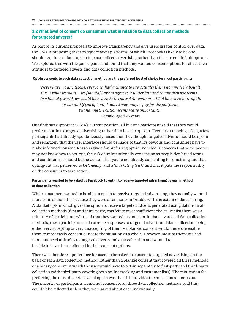#### **3.2 What level of consent do consumers want in relation to data collection methods for targeted adverts?**

As part of its current proposals to improve transparency and give users greater control over data, the CMA is proposing that strategic market platforms, of which Facebook is likely to be one, should require a default opt-in to personalised advertising rather than the current default opt-out. We explored this with the participants and found that they wanted consent options to reflect their attitudes to targeted adverts and data collection methods.

#### **Opt-in consents to each data collection method are the preferred level of choice for most participants.**

*'Never have we as citizens, everyone, had a chance to say actually this is how we feel about it, this is what we want... we [should] have to agree to it under fair and comprehensive terms… In a blue sky world, we would have a right to control the content... We'd have a right to opt in or out and if you opt out, I don't know, maybe pay for the platform, but having the option seems really important...'*  Female, aged 26 years

Our findings support the CMA's current position: all but one participant said that they would prefer to opt-in to targeted advertising rather than have to opt-out. Even prior to being asked, a few participants had already spontaneously raised that they thought targeted adverts should be opt-in and separately that the user interface should be made so that it's obvious and consumers have to make informed consent. Reasons given for preferring opt-in included: a concern that some people may not know how to opt-out; the risk of unintentionally consenting as people don't read terms and conditions; it should be the default that you're not already consenting to something and that opting-out was perceived to be '*sneaky*' and a '*marketing trick*' and that it puts the responsibility on the consumer to take action.

#### **Participants wanted to be asked by Facebook to opt-in to receive targeted advertising by each method of data collection**

While consumers wanted to be able to opt-in to receive targeted advertising, they actually wanted more control than this because they were often not comfortable with the extent of data sharing. A blanket opt-in which gives the option to receive targeted adverts generated using data from all collection methods (first and third-party) was felt to give insufficient choice. Whilst there was a minority of participants who said that they wanted just one opt-in that covered all data collection methods, these participants had extreme responses to targeted adverts and data collection, being either very accepting or very unaccepting of them – a blanket consent would therefore enable them to most easily consent or not to the situation as a whole. However, most participants had more nuanced attitudes to targeted adverts and data collection and wanted to be able to have these reflected in their consent options.

There was therefore a preference for users to be asked to consent to targeted advertising on the basis of each data collection method, rather than a blanket consent that covered all three methods or a binary consent in which the user would have to opt-in separately to first-party and third-party collection (with third-party covering both online tracking and customer lists). The motivation for preferring the most discrete level of opt-in was that this provides the most control for users. The majority of participants would not consent to all three data collection methods, and this couldn't be reflected unless they were asked about each individually.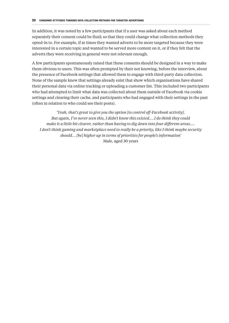In addition, it was noted by a few participants that if a user was asked about each method separately their consent could be fluid; so that they could change what collection methods they opted-in to. For example, if at times they wanted adverts to be more targeted because they were interested in a certain topic and wanted to be served more content on it, or if they felt that the adverts they were receiving in general were not relevant enough.

A few participants spontaneously raised that these consents should be designed in a way to make them obvious to users. This was often prompted by their not knowing, before the interview, about the presence of Facebook settings that allowed them to engage with third-party data collection. None of the sample knew that settings already exist that show which organisations have shared their personal data via online tracking or uploading a customer list. This included two participants who had attempted to limit what data was collected about them outside of Facebook via cookie settings and clearing their cache, and participants who had engaged with their settings in the past (often in relation to who could see their posts).

*'Yeah, that's great to give you the option [to control off-Facebook activity]. But again, I've never seen this, I didn't know this existed….I do think they could make it a little bit clearer, rather than having to dig down into four different areas.... I don't think gaming and marketplace need to really be a priority, like I think maybe security should… [be] higher up in terms of priorities for people's information'*  Male, aged 30 years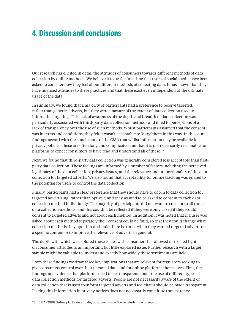## **4**. **Discussion and conclusions**

Our research has elicited in detail the attitudes of consumers towards different methods of data collection by online methods. We believe it to be the first time that users of social media have been asked to consider how they feel about different methods of collecting data. It has shown that they have nuanced attitudes to these practices and that these exist even independent of the ultimate usage of the data.

In summary, we found that a majority of participants had a preference to receive targeted, rather than generic, adverts, but they were unaware of the extent of data collection used to inform the targeting. This lack of awareness of the depth and breadth of data collection was particularly associated with third-party data collection methods and it led to perceptions of a lack of transparency over the use of such methods. Whilst participants assumed that the consent was in terms and conditions, they felt it wasn't acceptable to '*bury'* them in this way. In this, our findings accord with the conclusions of the CMA that whilst information may be available in privacy policies, these are often long and complicated and that it is not necessarily reasonable for platforms to expect consumers to have read and understand all of these.<sup>28</sup>

Next, we found that third-party data collection was generally considered less acceptable than firstparty data collection. These feelings are informed by a number of factors including the perceived legitimacy of the data collection, privacy issues, and the relevance and proportionality of the data collection for targeted adverts. We also found that acceptability for online tracking was related to the potential for users to control the data collection.

Finally, participants had a clear preference that they should have to opt-in to data collection for targeted advertising, rather than opt-out, and they wanted to be asked to consent to each data collection method individually. The majority of participants did not want to consent to all three data collection methods, and this couldn't be reflected if they were only asked if they would consent to targeted adverts and not about each method. In addition it was noted that if a user was asked about each method separately their consent could be fluid, so that they could change what collection methods they opted-in to should there be times when they wanted targeted adverts on a specific content or to improve the relevance of adverts in general.

The depth with which we explored these issues with consumers has allowed us to shed light on consumer attitudes to an important, but little explored issue. Further research with a larger sample might be valuable to understand exactly how widely these sentiments are held.

From these findings we draw three key implications that are relevant for regulators seeking to give consumers control over their personal data and for online platforms themselves. First, the findings are evidence that platforms need to be transparent about the use of different types of data collection methods for targeted adverts. People are not necessarily aware of the extent of data collection that is used to inform targeted adverts and feel that it should be made transparent. Placing this information in privacy notices does not necessarily constitute transparency.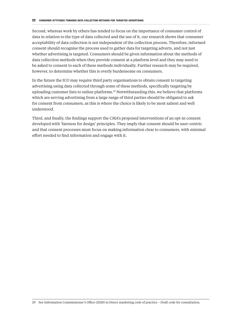#### 

Second, whereas work by others has tended to focus on the importance of consumer control of data in relation to the type of data collected and the use of it, our research shows that consumer acceptability of data collection is not independent of the collection process. Therefore, informed consent should recognise the process used to gather data for targeting adverts, and not just whether advertising is targeted. Consumers should be given information about the methods of data collection methods when they provide consent at a platform level and they may need to be asked to consent to each of these methods individually. Further research may be required, however, to determine whether this is overly burdensome on consumers.

In the future the ICO may require third party organisations to obtain consent to targeting advertising using data collected through some of these methods, specifically targeting by uploading customer lists to online platforms.29 Notwithstanding this, we believe that platforms which are serving advertising from a large range of third parties should be obligated to ask for consent from consumers, as this is where the choice is likely to be most salient and well understood.

Third, and finally, the findings support the CMA's proposed interventions of an opt-in consent developed with 'fairness for design' principles. They imply that consent should be user-centric and that consent processes must focus on making information clear to consumers, with minimal effort needed to find information and engage with it.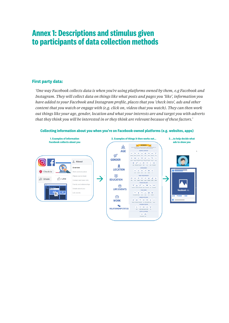## **Annex 1: Descriptions and stimulus given to participants of data collection methods**

#### **First party data:**

*'One way Facebook collects data is when you're using platforms owned by them, e.g Facebook and Instagram. They will collect data on things like what posts and pages you 'like', information you have added to your Facebook and Instagram profile, places that you 'check into', ads and other content that you watch or engage with (e.g. click on, videos that you watch). They can then work out things like your age, gender, location and what your interests are and target you with adverts that they think you will be interested in or they think are relevant because of these factors.'*

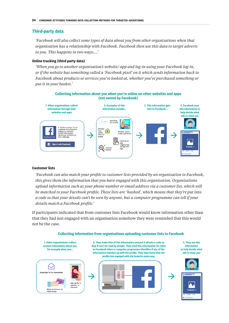#### **Third-party data**

*'Facebook will also collect some types of data about you from other organisations when that organisation has a relationship with Facebook. Facebook then use this data to target adverts to you. This happens in two ways:...'*

#### **Online tracking (third party data)**

*'When you go to another organisation's website/ app and log-in using your Facebook log-in, or if the website has something called a 'Facebook pixel' on it which sends information back to Facebook about products or services you've looked at, whether you've purchased something or put it in your basket.'*



#### **Customer lists**

*'Facebook can also match your profile to customer lists provided by an organisation to Facebook, this gives them the information that you have engaged with this organisation. Organisations upload information such as your phone number or email address via a customer list, which will be matched to your Facebook profile. These lists are 'hashed', which means that they're put into a code so that your details can't be seen by anyone, but a computer programme can tell if your details match a Facebook profile.'*

If participants indicated that from customer lists Facebook would know information other than that they had just engaged with an organisation somehow they were reminded that this would not be the case.





**that if can't be read by people. They send this information (in code) to Facebook where a computer programme identifies if any of the information matches up with the profile. They then know that the profile has engaged with the brand in some way.**



**3. They use this information to help decide what ads to show you**

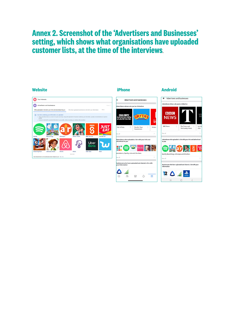## **Annex 2. Screenshot of the 'Advertisers and Businesses' setting, which shows what organisations have uploaded customer lists, at the time of the interviews.**

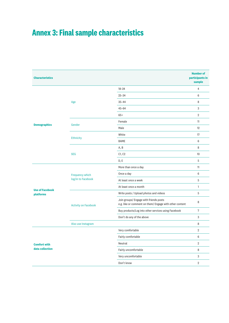## **Annex 3: Final sample characteristics**

| <b>Characteristics</b>                     |                                              |                                                                                                   | <b>Number of</b><br>participants in<br>sample |
|--------------------------------------------|----------------------------------------------|---------------------------------------------------------------------------------------------------|-----------------------------------------------|
| <b>Demographics</b>                        | Age                                          | $18 - 24$                                                                                         | $\overline{4}$                                |
|                                            |                                              | $25 - 34$                                                                                         | $6\phantom{1}$                                |
|                                            |                                              | $35 - 44$                                                                                         | 8                                             |
|                                            |                                              | $45 - 64$                                                                                         | 3                                             |
|                                            |                                              | $65+$                                                                                             | $\overline{2}$                                |
|                                            | Gender                                       | Female                                                                                            | 11                                            |
|                                            |                                              | Male                                                                                              | 12                                            |
|                                            | <b>Ethnicity</b>                             | White                                                                                             | 17                                            |
|                                            |                                              | <b>BAME</b>                                                                                       | 6                                             |
|                                            | <b>SEG</b>                                   | A, B                                                                                              | 8                                             |
|                                            |                                              | C1, C2                                                                                            | 10 <sup>°</sup>                               |
|                                            |                                              | D, E                                                                                              | 5                                             |
| <b>Use of Facebook</b><br><b>platforms</b> | <b>Frequency which</b><br>log/in to Facebook | More than once a day                                                                              | 11                                            |
|                                            |                                              | Once a day                                                                                        | 6                                             |
|                                            |                                              | At least once a week                                                                              | $\mathbf 5$                                   |
|                                            |                                              | At least once a month                                                                             | $\mathbf{1}$                                  |
|                                            | <b>Activity on Facebook</b>                  | Write posts / Upload photos and videos                                                            | 5                                             |
|                                            |                                              | Join groups/ Engage with friends posts<br>e.g. like or comment on them/ Engage with other content | 8                                             |
|                                            |                                              | Buy products/Log into other services using Facebook                                               | 7                                             |
|                                            |                                              | Don't do any of the above                                                                         | 3                                             |
|                                            | Also use Instagram                           |                                                                                                   | 8                                             |
| <b>Comfort with</b><br>data collection     |                                              | Very comfortable                                                                                  | $\overline{2}$                                |
|                                            |                                              | Fairly comfortable                                                                                | 6                                             |
|                                            |                                              | Neutral                                                                                           | $\overline{2}$                                |
|                                            |                                              | Fairly uncomfortable                                                                              | 8                                             |
|                                            |                                              | Very uncomfortable                                                                                | 3                                             |
|                                            |                                              | Don't know                                                                                        | $\overline{2}$                                |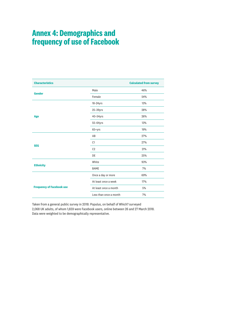## **Annex 4: Demographics and frequency of use of Facebook**

| <b>Characteristics</b>           |                        | <b>Calculated from survey</b> |
|----------------------------------|------------------------|-------------------------------|
| <b>Gender</b>                    | Male                   | 46%                           |
|                                  | Female                 | 54%                           |
|                                  | $18-24$ yrs            | 13%                           |
|                                  | $25-39$ yrs            | 28%                           |
| Age                              | $40-54$ yrs            | 26%                           |
|                                  | 55-64yrs               | 13%                           |
|                                  | $65+yrs$               | 19%                           |
|                                  | AB                     | 27%                           |
|                                  | C1                     | 27%                           |
| <b>SEG</b>                       | C <sub>2</sub>         | 21%                           |
|                                  | DE                     | 25%                           |
|                                  | White                  | 93%                           |
| <b>Ethnicity</b>                 | <b>BAME</b>            | 7%                            |
|                                  | Once a day or more     | 69%                           |
|                                  | At least once a week   | 17%                           |
| <b>Frequency of Facebook use</b> | At least once a month  | 5%                            |
|                                  | Less than once a month | 7%                            |

Taken from a general public survey in 2018: Populus, on behalf of Which? surveyed 2,068 UK adults, of whom 1,659 were Facebook users, online between 26 and 27 March 2018. Data were weighted to be demographically representative.